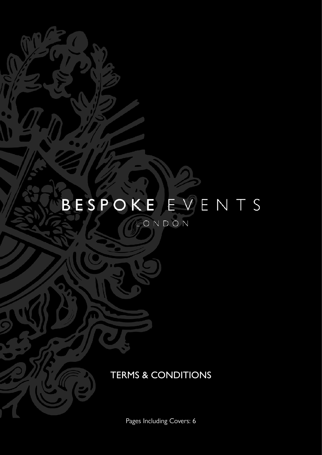# BESPOKE EVENTS

LONDON

## TERMS & CONDITIONS

Pages Including Covers: 6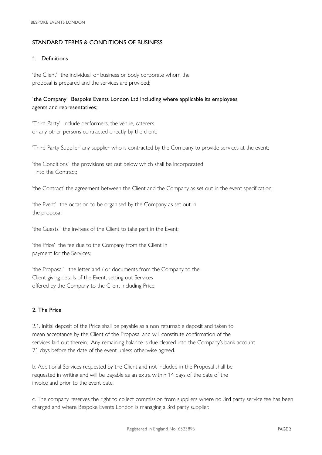#### STANDARD TERMS & CONDITIONS OF BUSINESS

#### 1. Definitions

'the Client' the individual, or business or body corporate whom the proposal is prepared and the services are provided;

### 'the Company' Bespoke Events London Ltd including where applicable its employees agents and representatives;

'Third Party' include performers, the venue, caterers or any other persons contracted directly by the client;

'Third Party Supplier' any supplier who is contracted by the Company to provide services at the event;

'the Conditions' the provisions set out below which shall be incorporated into the Contract;

'the Contract' the agreement between the Client and the Company as set out in the event specifcation;

'the Event' the occasion to be organised by the Company as set out in the proposal;

'the Guests' the invitees of the Client to take part in the Event;

'the Price' the fee due to the Company from the Client in payment for the Services;

'the Proposal' the letter and / or documents from the Company to the Client giving details of the Event, setting out Services offered by the Company to the Client including Price;

### 2. The Price

2.1. Initial deposit of the Price shall be payable as a non returnable deposit and taken to mean acceptance by the Client of the Proposal and will constitute confrmation of the services laid out therein; Any remaining balance is due cleared into the Company's bank account 21 days before the date of the event unless otherwise agreed.

b. Additional Services requested by the Client and not included in the Proposal shall be requested in writing and will be payable as an extra within 14 days of the date of the invoice and prior to the event date.

c. The company reserves the right to collect commission from suppliers where no 3rd party service fee has been charged and where Bespoke Events London is managing a 3rd party supplier.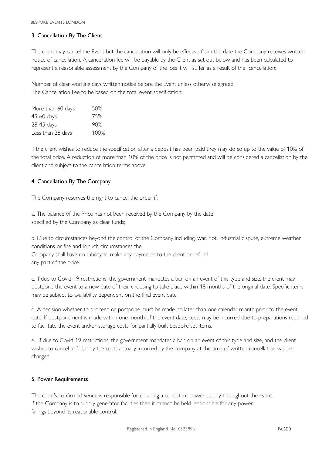#### 3. Cancellation By The Client

The client may cancel the Event but the cancellation will only be effective from the date the Company receives written notice of cancellation. A cancellation fee will be payable by the Client as set out below and has been calculated to represent a reasonable assessment by the Company of the loss it will suffer as a result of the cancellation;

Number of clear working days written notice before the Event unless otherwise agreed. The Cancellation Fee to be based on the total event specifcation:

| More than 60 days | 50%  |
|-------------------|------|
| 45-60 days        | 75%  |
| 28-45 days        | 90%  |
| Less than 28 days | 100% |

If the client wishes to reduce the specifcation after a deposit has been paid they may do so up to the value of 10% of the total price. A reduction of more than 10% of the price is not permitted and will be considered a cancellation by the client and subject to the cancellation terms above.

#### 4. Cancellation By The Company

The Company reserves the right to cancel the order if;

a. The balance of the Price has not been received by the Company by the date specified by the Company as clear funds;

b. Due to circumstances beyond the control of the Company including, war, riot, industrial dispute, extreme weather conditions or fre and in such circumstances the Company shall have no liability to make any payments to the client or refund any part of the price.

c. If due to Covid-19 restrictions, the government mandates a ban on an event of this type and size, the client may postpone the event to a new date of their choosing to take place within 18 months of the original date. Specific items may be subject to availability dependent on the final event date.

d. A decision whether to proceed or postpone must be made no later than one calendar month prior to the event date. If postponement is made within one month of the event date, costs may be incurred due to preparations required to facilitate the event and/or storage costs for partially built bespoke set items.

e. If due to Covid-19 restrictions, the government mandates a ban on an event of this type and size, and the client wishes to cancel in full, only the costs actually incurred by the company at the time of written cancellation will be charged.

#### 5. Power Requirements

The client's confrmed venue is responsible for ensuring a consistent power supply throughout the event. If the Company is to supply generator facilities then it cannot be held responsible for any power failings beyond its reasonable control.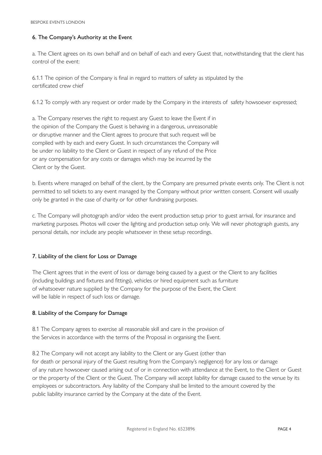#### 6. The Company's Authority at the Event

a. The Client agrees on its own behalf and on behalf of each and every Guest that, notwithstanding that the client has control of the event:

6.1.1 The opinion of the Company is fnal in regard to matters of safety as stipulated by the certificated crew chief

6.1.2 To comply with any request or order made by the Company in the interests of safety howsoever expressed;

a. The Company reserves the right to request any Guest to leave the Event if in the opinion of the Company the Guest is behaving in a dangerous, unreasonable or disruptive manner and the Client agrees to procure that such request will be complied with by each and every Guest. In such circumstances the Company will be under no liability to the Client or Guest in respect of any refund of the Price or any compensation for any costs or damages which may be incurred by the Client or by the Guest.

b. Events where managed on behalf of the client, by the Company are presumed private events only. The Client is not permitted to sell tickets to any event managed by the Company without prior written consent. Consent will usually only be granted in the case of charity or for other fundraising purposes.

c. The Company will photograph and/or video the event production setup prior to guest arrival, for insurance and marketing purposes. Photos will cover the lighting and production setup only. We will never photograph guests, any personal details, nor include any people whatsoever in these setup recordings.

#### 7. Liability of the client for Loss or Damage

The Client agrees that in the event of loss or damage being caused by a guest or the Client to any facilities (including buildings and fxtures and fttings), vehicles or hired equipment such as furniture of whatsoever nature supplied by the Company for the purpose of the Event, the Client will be liable in respect of such loss or damage.

#### 8. Liability of the Company for Damage

8.1 The Company agrees to exercise all reasonable skill and care in the provision of the Services in accordance with the terms of the Proposal in organising the Event.

8.2 The Company will not accept any liability to the Client or any Guest (other than for death or personal injury of the Guest resulting from the Company's negligence) for any loss or damage of any nature howsoever caused arising out of or in connection with attendance at the Event, to the Client or Guest or the property of the Client or the Guest. The Company will accept liability for damage caused to the venue by its employees or subcontractors. Any liability of the Company shall be limited to the amount covered by the public liability insurance carried by the Company at the date of the Event.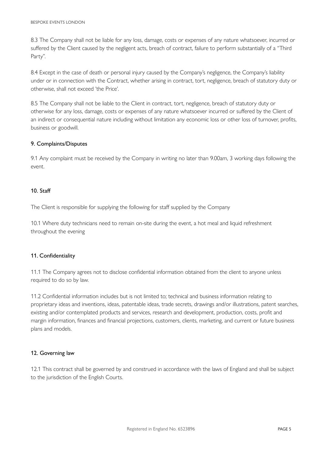8.3 The Company shall not be liable for any loss, damage, costs or expenses of any nature whatsoever, incurred or suffered by the Client caused by the negligent acts, breach of contract, failure to perform substantially of a "Third Party".

8.4 Except in the case of death or personal injury caused by the Company's negligence, the Company's liability under or in connection with the Contract, whether arising in contract, tort, negligence, breach of statutory duty or otherwise, shall not exceed 'the Price'.

8.5 The Company shall not be liable to the Client in contract, tort, negligence, breach of statutory duty or otherwise for any loss, damage, costs or expenses of any nature whatsoever incurred or suffered by the Client of an indirect or consequential nature including without limitation any economic loss or other loss of turnover, profts, business or goodwill.

#### 9. Complaints/Disputes

9.1 Any complaint must be received by the Company in writing no later than 9.00am, 3 working days following the event.

#### 10. Staff

The Client is responsible for supplying the following for staff supplied by the Company

10.1 Where duty technicians need to remain on-site during the event, a hot meal and liquid refreshment throughout the evening

#### 11. Confidentiality

11.1 The Company agrees not to disclose confidential information obtained from the client to anyone unless required to do so by law.

11.2 Confdential information includes but is not limited to; technical and business information relating to proprietary ideas and inventions, ideas, patentable ideas, trade secrets, drawings and/or illustrations, patent searches, existing and/or contemplated products and services, research and development, production, costs, proft and margin information, fnances and fnancial projections, customers, clients, marketing, and current or future business plans and models.

#### 12. Governing law

12.1 This contract shall be governed by and construed in accordance with the laws of England and shall be subject to the jurisdiction of the English Courts.